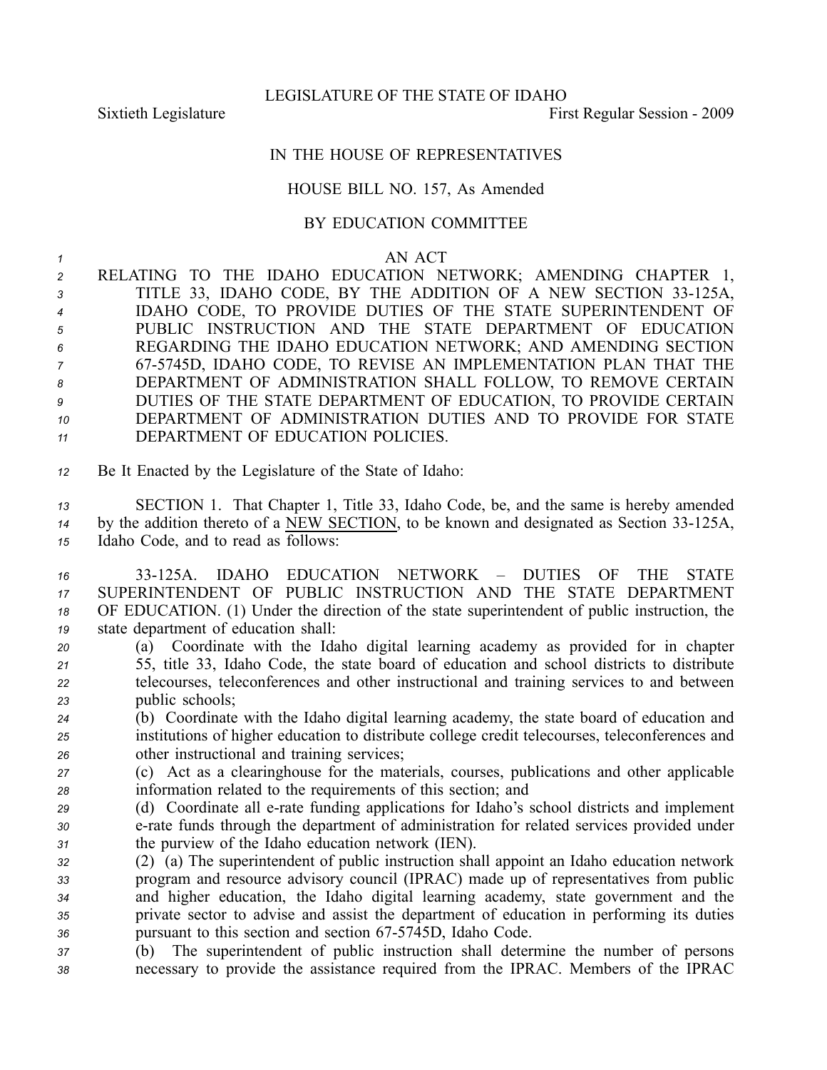LEGISLATURE OF THE STATE OF IDAHO

Sixtieth Legislature **First Regular Session** - 2009

## IN THE HOUSE OF REPRESENTATIVES

## HOUSE BILL NO. 157, As Amended

## BY EDUCATION COMMITTEE

## *1* AN ACT

 RELATING TO THE IDAHO EDUCATION NETWORK; AMENDING CHAPTER 1, 3 TITLE 33, IDAHO CODE, BY THE ADDITION OF A NEW SECTION 33-125A, IDAHO CODE, TO PROVIDE DUTIES OF THE STATE SUPERINTENDENT OF PUBLIC INSTRUCTION AND THE STATE DEPARTMENT OF EDUCATION REGARDING THE IDAHO EDUCATION NETWORK; AND AMENDING SECTION 675745D, IDAHO CODE, TO REVISE AN IMPLEMENTATION PLAN THAT THE DEPARTMENT OF ADMINISTRATION SHALL FOLLOW, TO REMOVE CERTAIN DUTIES OF THE STATE DEPARTMENT OF EDUCATION, TO PROVIDE CERTAIN DEPARTMENT OF ADMINISTRATION DUTIES AND TO PROVIDE FOR STATE DEPARTMENT OF EDUCATION POLICIES.

*<sup>12</sup>* Be It Enacted by the Legislature of the State of Idaho:

*<sup>13</sup>* SECTION 1. That Chapter 1, Title 33, Idaho Code, be, and the same is hereby amended <sup>14</sup> by the addition thereto of a NEW SECTION, to be known and designated as Section 33-125A, *<sup>15</sup>* Idaho Code, and to read as follows:

 33125A. IDAHO EDUCATION NETWORK – DUTIES OF THE STATE SUPERINTENDENT OF PUBLIC INSTRUCTION AND THE STATE DEPARTMENT OF EDUCATION. (1) Under the direction of the state superintendent of public instruction, the state department of education shall:

 (a) Coordinate with the Idaho digital learning academy as provided for in chapter 55, title 33, Idaho Code, the state board of education and school districts to distribute telecourses, teleconferences and other instructional and training services to and between public schools;

*<sup>24</sup>* (b) Coordinate with the Idaho digital learning academy, the state board of education and *<sup>25</sup>* institutions of higher education to distribute college credit telecourses, teleconferences and *<sup>26</sup>* other instructional and training services;

*<sup>27</sup>* (c) Act as <sup>a</sup> clearinghouse for the materials, courses, publications and other applicable *<sup>28</sup>* information related to the requirements of this section; and

*<sup>29</sup>* (d) Coordinate all erate funding applications for Idaho's school districts and implement *<sup>30</sup>* erate funds through the department of administration for related services provided under *<sup>31</sup>* the purview of the Idaho education network (IEN).

- *<sup>32</sup>* (2) (a) The superintendent of public instruction shall appoint an Idaho education network *<sup>33</sup>* program and resource advisory council (IPRAC) made up of representatives from public *<sup>34</sup>* and higher education, the Idaho digital learning academy, state governmen<sup>t</sup> and the *<sup>35</sup>* private sector to advise and assist the department of education in performing its duties 36 pursuant to this section and section 67-5745D, Idaho Code.
- *<sup>37</sup>* (b) The superintendent of public instruction shall determine the number of persons *<sup>38</sup>* necessary to provide the assistance required from the IPRAC. Members of the IPRAC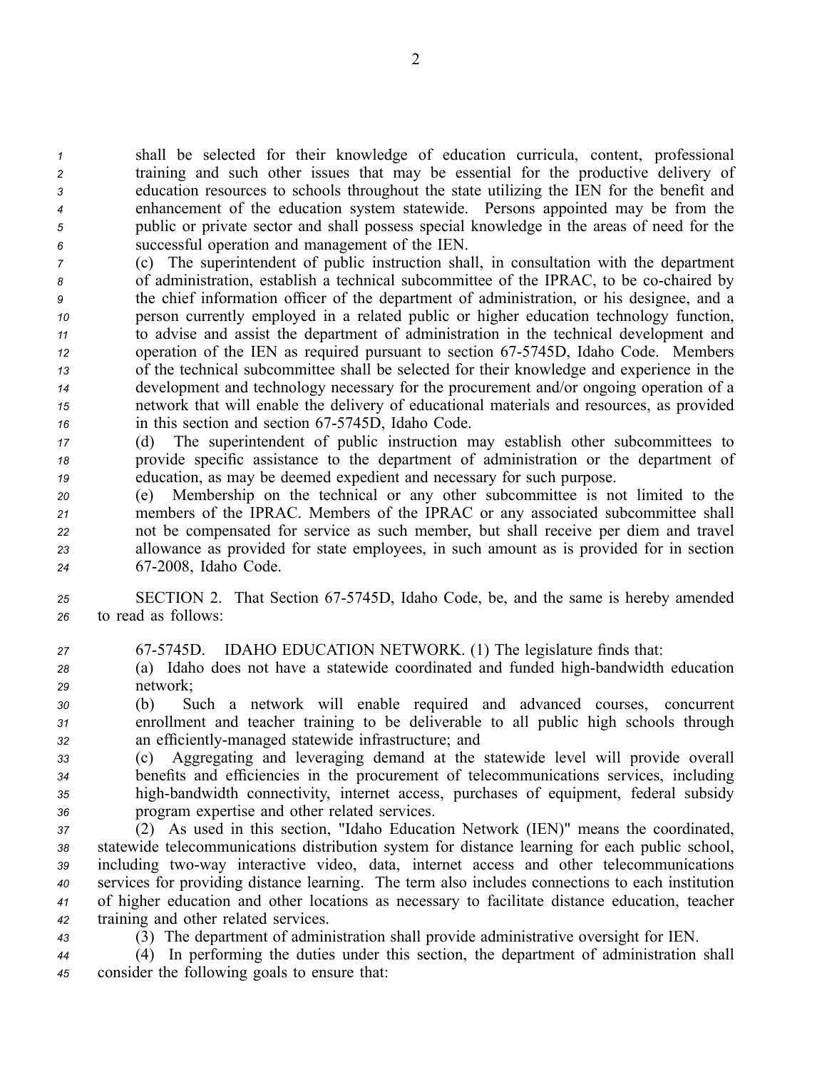shall be selected for their knowledge of education curricula, content, professional training and such other issues that may be essential for the productive delivery of education resources to schools throughout the state utilizing the IEN for the benefit and enhancement of the education system statewide. Persons appointed may be from the public or private sector and shall possess special knowledge in the areas of need for the successful operation and managemen<sup>t</sup> of the IEN.

 (c) The superintendent of public instruction shall, in consultation with the department of administration, establish <sup>a</sup> technical subcommittee of the IPRAC, to be cochaired by the chief information officer of the department of administration, or his designee, and <sup>a</sup> person currently employed in <sup>a</sup> related public or higher education technology function, to advise and assist the department of administration in the technical development and operation of the IEN as required pursuan<sup>t</sup> to section 675745D, Idaho Code. Members of the technical subcommittee shall be selected for their knowledge and experience in the development and technology necessary for the procuremen<sup>t</sup> and/or ongoing operation of <sup>a</sup> network that will enable the delivery of educational materials and resources, as provided in this section and section 67-5745D, Idaho Code.

*<sup>17</sup>* (d) The superintendent of public instruction may establish other subcommittees to *<sup>18</sup>* provide specific assistance to the department of administration or the department of *<sup>19</sup>* education, as may be deemed expedient and necessary for such purpose.

 (e) Membership on the technical or any other subcommittee is not limited to the members of the IPRAC. Members of the IPRAC or any associated subcommittee shall not be compensated for service as such member, but shall receive per diem and travel allowance as provided for state employees, in such amount as is provided for in section 672008, Idaho Code.

*<sup>25</sup>* SECTION 2. That Section 675745D, Idaho Code, be, and the same is hereby amended *<sup>26</sup>* to read as follows:

*<sup>27</sup>* 675745D. IDAHO EDUCATION NETWORK. (1) The legislature finds that:

28 (a) Idaho does not have a statewide coordinated and funded high-bandwidth education *<sup>29</sup>* network;

*<sup>30</sup>* (b) Such <sup>a</sup> network will enable required and advanced courses, concurrent *<sup>31</sup>* enrollment and teacher training to be deliverable to all public high schools through *<sup>32</sup>* an efficientlymanaged statewide infrastructure; and

 (c) Aggregating and leveraging demand at the statewide level will provide overall benefits and efficiencies in the procuremen<sup>t</sup> of telecommunications services, including high-bandwidth connectivity, internet access, purchases of equipment, federal subsidy program expertise and other related services.

 (2) As used in this section, "Idaho Education Network (IEN)" means the coordinated, statewide telecommunications distribution system for distance learning for each public school, 39 including two-way interactive video, data, internet access and other telecommunications services for providing distance learning. The term also includes connections to each institution of higher education and other locations as necessary to facilitate distance education, teacher training and other related services.

*<sup>43</sup>* (3) The department of administration shall provide administrative oversight for IEN.

*<sup>44</sup>* (4) In performing the duties under this section, the department of administration shall *<sup>45</sup>* consider the following goals to ensure that: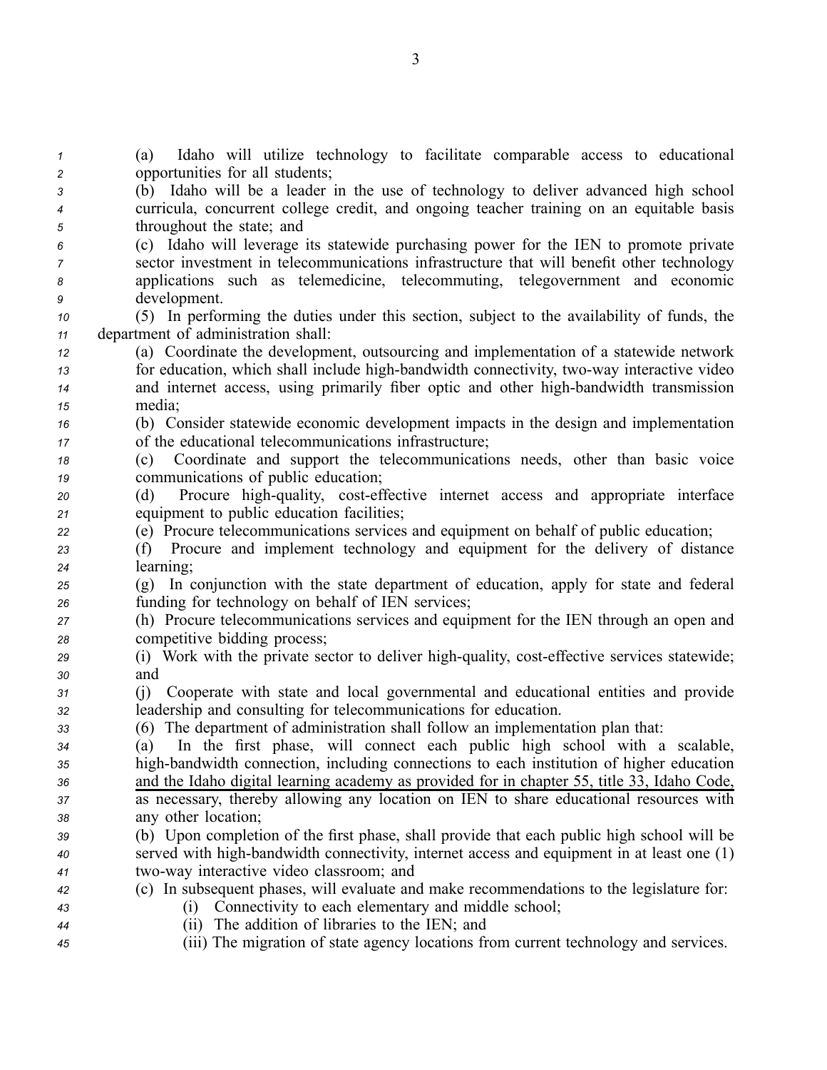(a) Idaho will utilize technology to facilitate comparable access to educational opportunities for all students; (b) Idaho will be <sup>a</sup> leader in the use of technology to deliver advanced high school curricula, concurrent college credit, and ongoing teacher training on an equitable basis throughout the state; and (c) Idaho will leverage its statewide purchasing power for the IEN to promote private sector investment in telecommunications infrastructure that will benefit other technology applications such as telemedicine, telecommuting, telegovernment and economic development. (5) In performing the duties under this section, subject to the availability of funds, the department of administration shall: (a) Coordinate the development, outsourcing and implementation of <sup>a</sup> statewide network for education, which shall include high-bandwidth connectivity, two-way interactive video and internet access, using primarily fiber optic and other high-bandwidth transmission *<sup>15</sup>* media; (b) Consider statewide economic development impacts in the design and implementation of the educational telecommunications infrastructure; (c) Coordinate and suppor<sup>t</sup> the telecommunications needs, other than basic voice communications of public education; (d) Procure high-quality, cost-effective internet access and appropriate interface equipment to public education facilities; (e) Procure telecommunications services and equipment on behalf of public education; (f) Procure and implement technology and equipment for the delivery of distance learning; (g) In conjunction with the state department of education, apply for state and federal funding for technology on behalf of IEN services; (h) Procure telecommunications services and equipment for the IEN through an open and competitive bidding process; (i) Work with the private sector to deliver high-quality, cost-effective services statewide; *<sup>30</sup>* and (j) Cooperate with state and local governmental and educational entities and provide leadership and consulting for telecommunications for education. (6) The department of administration shall follow an implementation plan that: (a) In the first phase, will connect each public high school with <sup>a</sup> scalable, high-bandwidth connection, including connections to each institution of higher education and the Idaho digital learning academy as provided for in chapter 55, title 33, Idaho Code, as necessary, thereby allowing any location on IEN to share educational resources with any other location; (b) Upon completion of the first phase, shall provide that each public high school will be served with high-bandwidth connectivity, internet access and equipment in at least one (1) 41 two-way interactive video classroom; and (c) In subsequent phases, will evaluate and make recommendations to the legislature for: (i) Connectivity to each elementary and middle school; (ii) The addition of libraries to the IEN; and (iii) The migration of state agency locations from current technology and services.